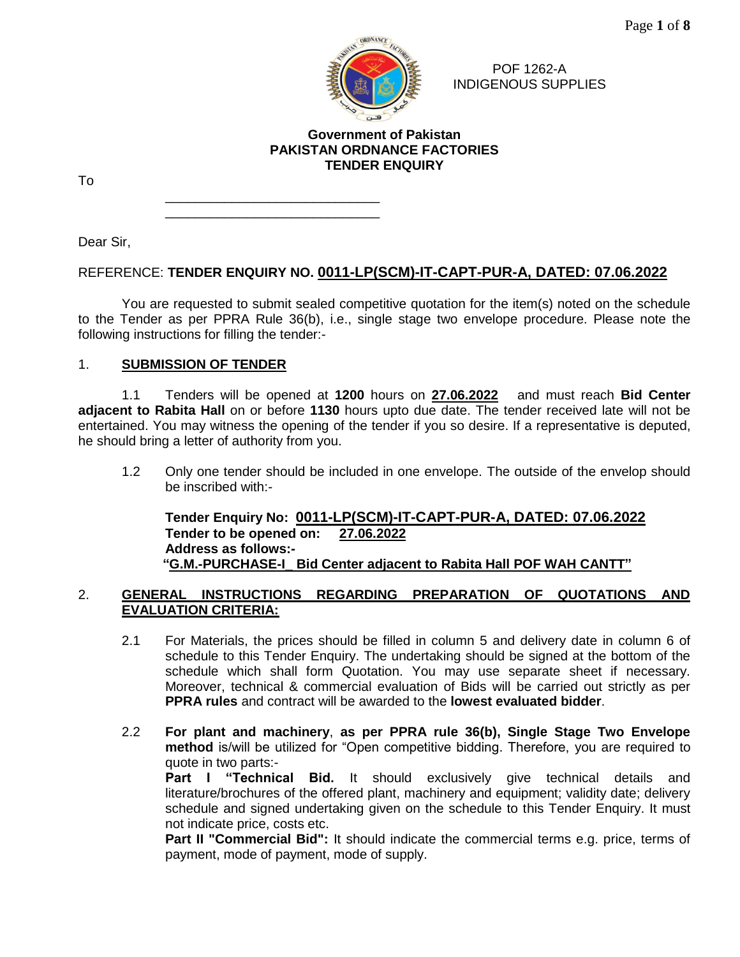

POF 1262-A INDIGENOUS SUPPLIES

# **Government of Pakistan PAKISTAN ORDNANCE FACTORIES TENDER ENQUIRY**

To

\_\_\_\_\_\_\_\_\_\_\_\_\_\_\_\_\_\_\_\_\_\_\_\_\_\_\_\_\_  $\mathcal{L}=\mathcal{L}=\mathcal{L}=\mathcal{L}=\mathcal{L}=\mathcal{L}=\mathcal{L}=\mathcal{L}=\mathcal{L}=\mathcal{L}=\mathcal{L}=\mathcal{L}=\mathcal{L}=\mathcal{L}=\mathcal{L}=\mathcal{L}=\mathcal{L}=\mathcal{L}=\mathcal{L}=\mathcal{L}=\mathcal{L}=\mathcal{L}=\mathcal{L}=\mathcal{L}=\mathcal{L}=\mathcal{L}=\mathcal{L}=\mathcal{L}=\mathcal{L}=\mathcal{L}=\mathcal{L}=\mathcal{L}=\mathcal{L}=\mathcal{L}=\mathcal{L}=\mathcal{L}=\mathcal{$ 

Dear Sir,

# REFERENCE: **TENDER ENQUIRY NO. 0011-LP(SCM)-IT-CAPT-PUR-A, DATED: 07.06.2022**

You are requested to submit sealed competitive quotation for the item(s) noted on the schedule to the Tender as per PPRA Rule 36(b), i.e., single stage two envelope procedure. Please note the following instructions for filling the tender:-

# 1. **SUBMISSION OF TENDER**

1.1 Tenders will be opened at **1200** hours on **27.06.2022** and must reach **Bid Center adjacent to Rabita Hall** on or before **1130** hours upto due date. The tender received late will not be entertained. You may witness the opening of the tender if you so desire. If a representative is deputed, he should bring a letter of authority from you.

1.2 Only one tender should be included in one envelope. The outside of the envelop should be inscribed with:-

**Tender Enquiry No: 0011-LP(SCM)-IT-CAPT-PUR-A, DATED: 07.06.2022 Tender to be opened on: 27.06.2022 Address as follows:- "G.M.-PURCHASE-I\_ Bid Center adjacent to Rabita Hall POF WAH CANTT"**

# 2. **GENERAL INSTRUCTIONS REGARDING PREPARATION OF QUOTATIONS AND EVALUATION CRITERIA:**

- 2.1 For Materials, the prices should be filled in column 5 and delivery date in column 6 of schedule to this Tender Enquiry. The undertaking should be signed at the bottom of the schedule which shall form Quotation. You may use separate sheet if necessary. Moreover, technical & commercial evaluation of Bids will be carried out strictly as per **PPRA rules** and contract will be awarded to the **lowest evaluated bidder**.
- 2.2 **For plant and machinery**, **as per PPRA rule 36(b), Single Stage Two Envelope method** is/will be utilized for "Open competitive bidding. Therefore, you are required to quote in two parts:-

Part I "Technical Bid. It should exclusively give technical details and literature/brochures of the offered plant, machinery and equipment; validity date; delivery schedule and signed undertaking given on the schedule to this Tender Enquiry. It must not indicate price, costs etc.

**Part II "Commercial Bid":** It should indicate the commercial terms e.g. price, terms of payment, mode of payment, mode of supply.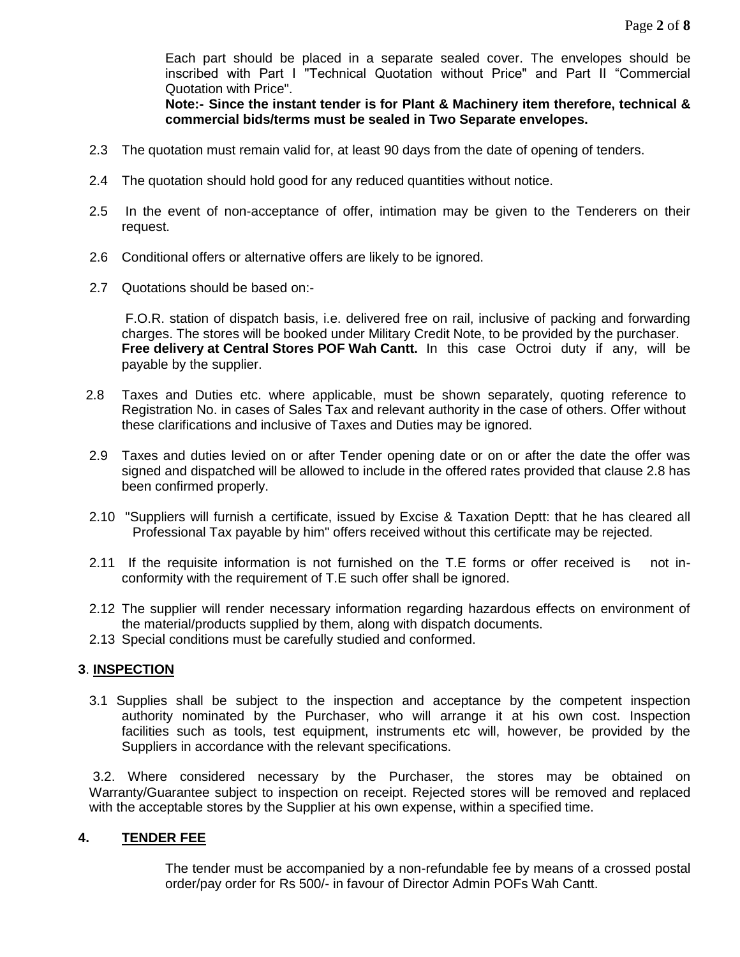Each part should be placed in a separate sealed cover. The envelopes should be inscribed with Part I "Technical Quotation without Price" and Part II "Commercial Quotation with Price".

**Note:- Since the instant tender is for Plant & Machinery item therefore, technical & commercial bids/terms must be sealed in Two Separate envelopes.** 

- 2.3 The quotation must remain valid for, at least 90 days from the date of opening of tenders.
- 2.4 The quotation should hold good for any reduced quantities without notice.
- 2.5 In the event of non-acceptance of offer, intimation may be given to the Tenderers on their request.
- 2.6 Conditional offers or alternative offers are likely to be ignored.
- 2.7 Quotations should be based on:-

F.O.R. station of dispatch basis, i.e. delivered free on rail, inclusive of packing and forwarding charges. The stores will be booked under Military Credit Note, to be provided by the purchaser. **Free delivery at Central Stores POF Wah Cantt.** In this case Octroi duty if any, will be payable by the supplier.

- 2.8 Taxes and Duties etc. where applicable, must be shown separately, quoting reference to Registration No. in cases of Sales Tax and relevant authority in the case of others. Offer without these clarifications and inclusive of Taxes and Duties may be ignored.
- 2.9 Taxes and duties levied on or after Tender opening date or on or after the date the offer was signed and dispatched will be allowed to include in the offered rates provided that clause 2.8 has been confirmed properly.
- 2.10 "Suppliers will furnish a certificate, issued by Excise & Taxation Deptt: that he has cleared all Professional Tax payable by him" offers received without this certificate may be rejected.
- 2.11 If the requisite information is not furnished on the T.E forms or offer received is not inconformity with the requirement of T.E such offer shall be ignored.
- 2.12 The supplier will render necessary information regarding hazardous effects on environment of the material/products supplied by them, along with dispatch documents.
- 2.13 Special conditions must be carefully studied and conformed.

## **3**. **INSPECTION**

3.1 Supplies shall be subject to the inspection and acceptance by the competent inspection authority nominated by the Purchaser, who will arrange it at his own cost. Inspection facilities such as tools, test equipment, instruments etc will, however, be provided by the Suppliers in accordance with the relevant specifications.

 3.2. Where considered necessary by the Purchaser, the stores may be obtained on Warranty/Guarantee subject to inspection on receipt. Rejected stores will be removed and replaced with the acceptable stores by the Supplier at his own expense, within a specified time.

#### **4. TENDER FEE**

The tender must be accompanied by a non-refundable fee by means of a crossed postal order/pay order for Rs 500/- in favour of Director Admin POFs Wah Cantt.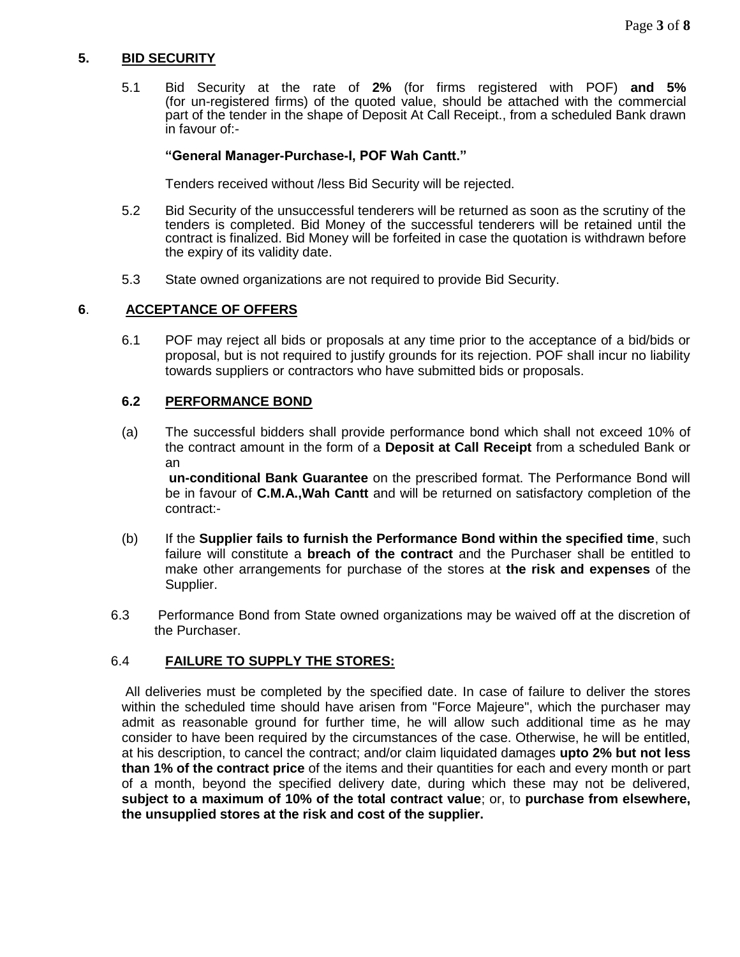# **5. BID SECURITY**

5.1 Bid Security at the rate of **2%** (for firms registered with POF) **and 5%** (for un-registered firms) of the quoted value, should be attached with the commercial part of the tender in the shape of Deposit At Call Receipt., from a scheduled Bank drawn in favour of:-

## **"General Manager-Purchase-I, POF Wah Cantt."**

Tenders received without /less Bid Security will be rejected.

- 5.2 Bid Security of the unsuccessful tenderers will be returned as soon as the scrutiny of the tenders is completed. Bid Money of the successful tenderers will be retained until the contract is finalized. Bid Money will be forfeited in case the quotation is withdrawn before the expiry of its validity date.
- 5.3 State owned organizations are not required to provide Bid Security.

## **6**. **ACCEPTANCE OF OFFERS**

6.1 POF may reject all bids or proposals at any time prior to the acceptance of a bid/bids or proposal, but is not required to justify grounds for its rejection. POF shall incur no liability towards suppliers or contractors who have submitted bids or proposals.

## **6.2 PERFORMANCE BOND**

(a) The successful bidders shall provide performance bond which shall not exceed 10% of the contract amount in the form of a **Deposit at Call Receipt** from a scheduled Bank or an

**un-conditional Bank Guarantee** on the prescribed format. The Performance Bond will be in favour of **C.M.A.,Wah Cantt** and will be returned on satisfactory completion of the contract:-

- (b) If the **Supplier fails to furnish the Performance Bond within the specified time**, such failure will constitute a **breach of the contract** and the Purchaser shall be entitled to make other arrangements for purchase of the stores at **the risk and expenses** of the Supplier.
- 6.3 Performance Bond from State owned organizations may be waived off at the discretion of the Purchaser.

# 6.4 **FAILURE TO SUPPLY THE STORES:**

All deliveries must be completed by the specified date. In case of failure to deliver the stores within the scheduled time should have arisen from "Force Majeure", which the purchaser may admit as reasonable ground for further time, he will allow such additional time as he may consider to have been required by the circumstances of the case. Otherwise, he will be entitled, at his description, to cancel the contract; and/or claim liquidated damages **upto 2% but not less than 1% of the contract price** of the items and their quantities for each and every month or part of a month, beyond the specified delivery date, during which these may not be delivered, **subject to a maximum of 10% of the total contract value**; or, to **purchase from elsewhere, the unsupplied stores at the risk and cost of the supplier.**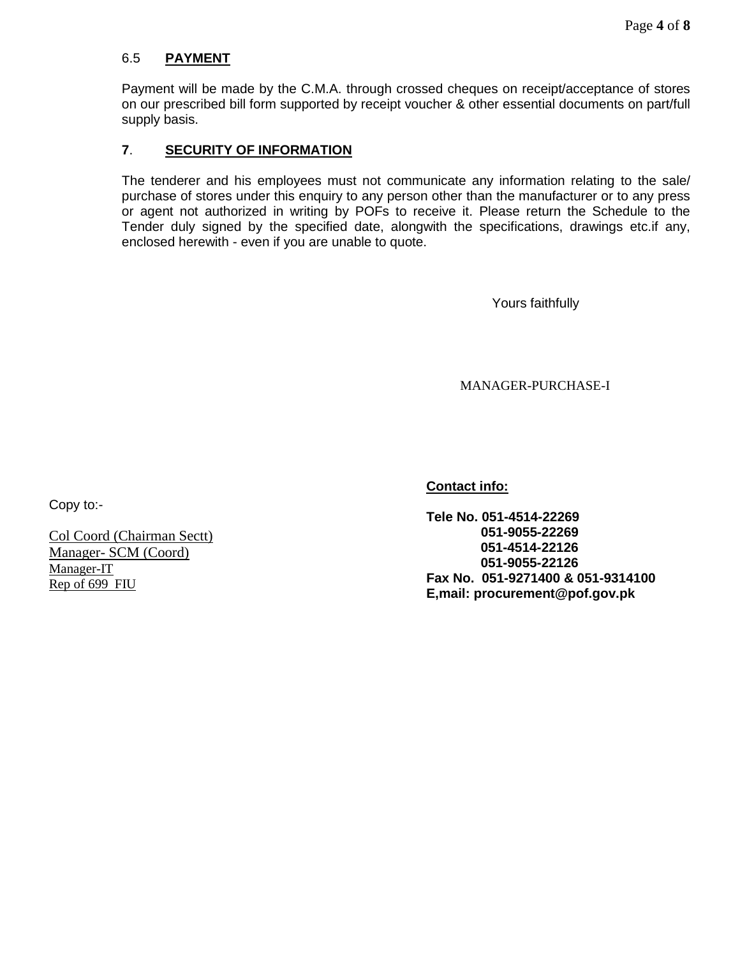# 6.5 **PAYMENT**

Payment will be made by the C.M.A. through crossed cheques on receipt/acceptance of stores on our prescribed bill form supported by receipt voucher & other essential documents on part/full supply basis.

# **7**. **SECURITY OF INFORMATION**

The tenderer and his employees must not communicate any information relating to the sale/ purchase of stores under this enquiry to any person other than the manufacturer or to any press or agent not authorized in writing by POFs to receive it. Please return the Schedule to the Tender duly signed by the specified date, alongwith the specifications, drawings etc.if any, enclosed herewith - even if you are unable to quote.

Yours faithfully

MANAGER-PURCHASE-I

Copy to:-

Col Coord (Chairman Sectt) Manager- SCM (Coord) Manager-IT Rep of 699 FIU

**Contact info:**

**Tele No. 051-4514-22269 051-9055-22269 051-4514-22126 051-9055-22126 Fax No. 051-9271400 & 051-9314100 E,mail: procurement@pof.gov.pk**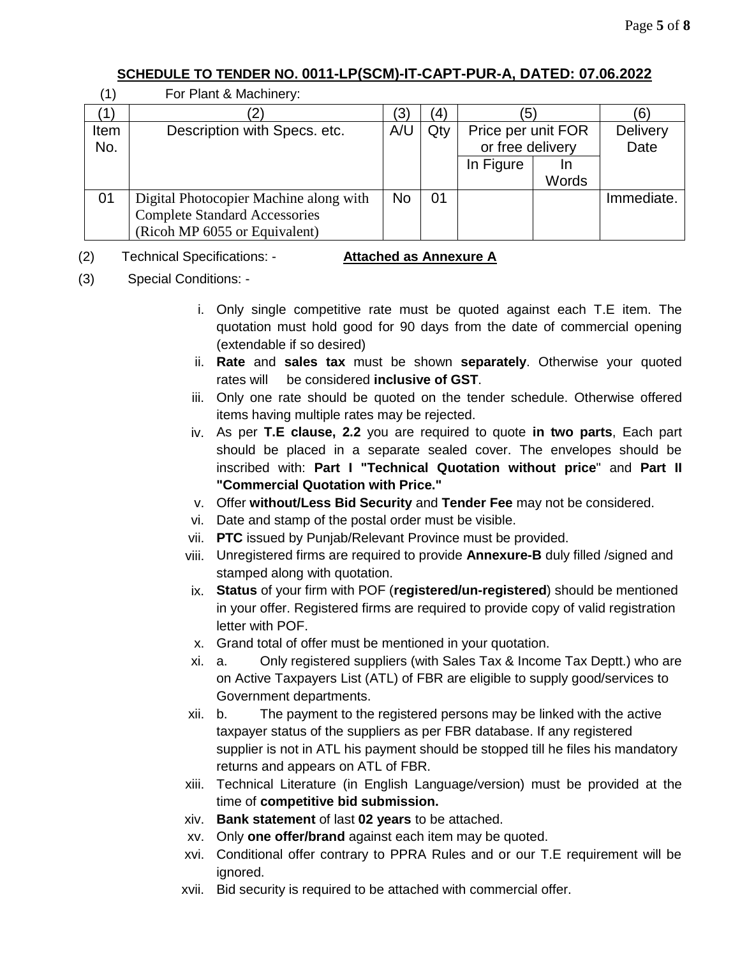# **SCHEDULE TO TENDER NO. 0011-LP(SCM)-IT-CAPT-PUR-A, DATED: 07.06.2022**

| $^{\prime}$ 1] | For Plant & Machinery:                 |           |     |                    |       |                 |
|----------------|----------------------------------------|-----------|-----|--------------------|-------|-----------------|
|                |                                        | '3)       | (4) | 5                  |       | 6               |
| Item           | Description with Specs. etc.           | A/U       | Qty | Price per unit FOR |       | <b>Delivery</b> |
| No.            |                                        |           |     | or free delivery   |       | Date            |
|                |                                        |           |     | In Figure          | In    |                 |
|                |                                        |           |     |                    | Words |                 |
| 01             | Digital Photocopier Machine along with | <b>No</b> | 01  |                    |       | Immediate.      |
|                | <b>Complete Standard Accessories</b>   |           |     |                    |       |                 |
|                | (Ricoh MP 6055 or Equivalent)          |           |     |                    |       |                 |

# (2) Technical Specifications: - **Attached as Annexure A**

(3) Special Conditions: -

- i. Only single competitive rate must be quoted against each T.E item. The quotation must hold good for 90 days from the date of commercial opening (extendable if so desired)
- ii. **Rate** and **sales tax** must be shown **separately**. Otherwise your quoted rates will be considered **inclusive of GST**.
- iii. Only one rate should be quoted on the tender schedule. Otherwise offered items having multiple rates may be rejected.
- iv. As per **T.E clause, 2.2** you are required to quote **in two parts**, Each part should be placed in a separate sealed cover. The envelopes should be inscribed with: **Part I "Technical Quotation without price**" and **Part II "Commercial Quotation with Price."**
- v. Offer **without/Less Bid Security** and **Tender Fee** may not be considered.
- vi. Date and stamp of the postal order must be visible.
- vii. **PTC** issued by Punjab/Relevant Province must be provided.
- viii. Unregistered firms are required to provide **Annexure-B** duly filled /signed and stamped along with quotation.
- ix. **Status** of your firm with POF (**registered/un-registered**) should be mentioned in your offer. Registered firms are required to provide copy of valid registration letter with POF.
- x. Grand total of offer must be mentioned in your quotation.
- xi. a. Only registered suppliers (with Sales Tax & Income Tax Deptt.) who are on Active Taxpayers List (ATL) of FBR are eligible to supply good/services to Government departments.
- xii. b. The payment to the registered persons may be linked with the active taxpayer status of the suppliers as per FBR database. If any registered supplier is not in ATL his payment should be stopped till he files his mandatory returns and appears on ATL of FBR.
- xiii. Technical Literature (in English Language/version) must be provided at the time of **competitive bid submission.**
- xiv. **Bank statement** of last **02 years** to be attached.
- xv. Only **one offer/brand** against each item may be quoted.
- xvi. Conditional offer contrary to PPRA Rules and or our T.E requirement will be ignored.
- xvii. Bid security is required to be attached with commercial offer.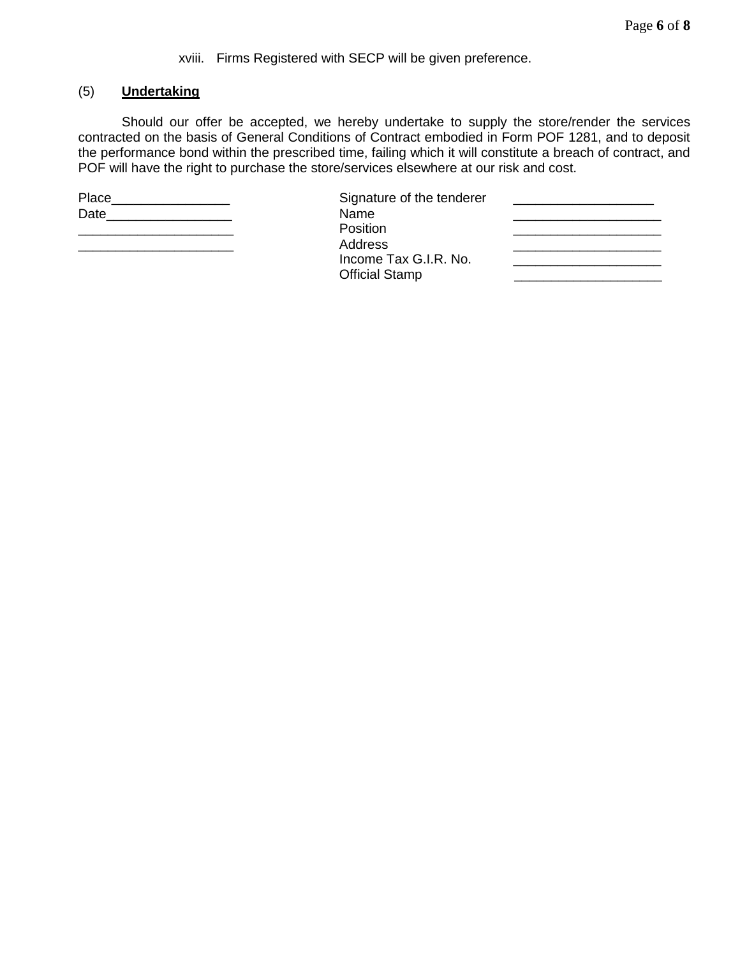## xviii. Firms Registered with SECP will be given preference.

## (5) **Undertaking**

Should our offer be accepted, we hereby undertake to supply the store/render the services contracted on the basis of General Conditions of Contract embodied in Form POF 1281, and to deposit the performance bond within the prescribed time, failing which it will constitute a breach of contract, and POF will have the right to purchase the store/services elsewhere at our risk and cost.

Place\_\_\_\_\_\_\_\_\_\_\_\_\_\_\_\_ Signature of the tenderer \_\_\_\_\_\_\_\_\_\_\_\_\_\_\_\_\_\_\_

Date **Date Contract Contract Contract Contract Contract Contract Contract Contract Contract Contract Contract Contract Contract Contract Contract Contract Contract Contract Contract Contract Contract Contract Contract Co** \_\_\_\_\_\_\_\_\_\_\_\_\_\_\_\_\_\_\_\_\_ Position \_\_\_\_\_\_\_\_\_\_\_\_\_\_\_\_\_\_\_\_ \_\_\_\_\_\_\_\_\_\_\_\_\_\_\_\_\_\_\_\_\_ Address \_\_\_\_\_\_\_\_\_\_\_\_\_\_\_\_\_\_\_\_ Income Tax G.I.R. No. \_\_\_\_\_\_\_\_\_\_\_\_\_\_\_\_\_\_\_\_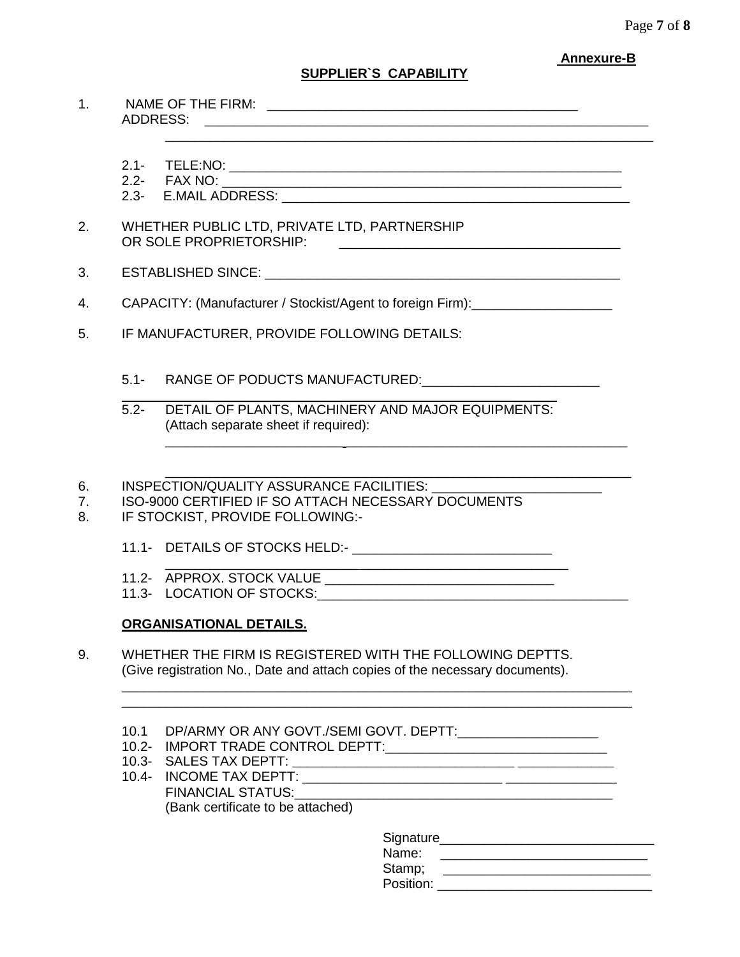### **Annexure-B**

# **SUPPLIER`S CAPABILITY**

\_\_\_\_\_\_\_\_\_\_\_\_\_\_\_\_\_\_\_\_\_\_\_\_\_\_\_\_\_\_\_\_\_\_\_\_\_\_\_\_\_\_\_\_\_\_\_\_\_\_\_\_\_\_\_\_\_\_\_\_\_\_\_\_\_\_

1. NAME OF THE FIRM: \_\_\_\_\_\_\_\_\_\_\_\_\_\_\_\_\_\_\_\_\_\_\_\_\_\_\_\_\_\_\_\_\_\_\_\_\_\_\_\_\_\_ ADDRESS: \_\_\_\_\_\_\_\_\_\_\_\_\_\_\_\_\_\_\_\_\_\_\_\_\_\_\_\_\_\_\_\_\_\_\_\_\_\_\_\_\_\_\_\_\_\_\_\_\_\_\_\_\_\_\_\_\_\_\_\_

2.1- TELE:NO: \_\_\_\_\_\_\_\_\_\_\_\_\_\_\_\_\_\_\_\_\_\_\_\_\_\_\_\_\_\_\_\_\_\_\_\_\_\_\_\_\_\_\_\_\_\_\_\_\_\_\_\_\_

2.2- FAX NO: \_\_\_\_\_\_\_\_\_\_\_\_\_\_\_\_\_\_\_\_\_\_\_\_\_\_\_\_\_\_\_\_\_\_\_\_\_\_\_\_\_\_\_\_\_\_\_\_\_\_\_\_\_\_

- 2.3- E.MAIL ADDRESS: **E.MAIL ADDRESS:**
- 2. WHETHER PUBLIC LTD, PRIVATE LTD, PARTNERSHIP OR SOLE PROPRIETORSHIP:
- 3. ESTABLISHED SINCE:  $\blacksquare$
- 4. CAPACITY: (Manufacturer / Stockist/Agent to foreign Firm): CAPACITY: (Manufacturer / Stockist/Agent to foreign Firm):
- 5. IF MANUFACTURER, PROVIDE FOLLOWING DETAILS:
	- 5.1- RANGE OF PODUCTS MANUFACTURED:
	- 5.2- DETAIL OF PLANTS, MACHINERY AND MAJOR EQUIPMENTS: (Attach separate sheet if required):

\_\_\_\_\_\_\_\_\_\_\_\_\_\_\_\_\_\_ \_\_\_\_\_

\_\_\_\_\_\_\_\_\_\_\_\_\_\_\_\_\_\_\_\_\_\_\_\_ \_\_\_\_\_\_\_\_\_\_\_\_\_\_\_\_\_\_\_\_\_\_\_\_\_\_\_\_\_\_\_\_\_\_\_\_\_\_

\_\_\_\_\_\_\_\_\_\_\_\_\_\_\_\_\_\_\_\_\_\_\_\_\_\_\_\_\_\_\_\_\_\_\_\_\_\_\_\_\_\_\_\_\_\_\_\_\_\_\_\_\_\_\_\_\_\_\_\_\_\_\_ 6. INSPECTION/QUALITY ASSURANCE FACILITIES:

7. ISO-9000 CERTIFIED IF SO ATTACH NECESSARY DOCUMENTS

- 8. IF STOCKIST, PROVIDE FOLLOWING:-
	- 11.1- DETAILS OF STOCKS HELD:-
	- 11.2- APPROX. STOCK VALUE \_\_\_\_\_\_\_\_\_\_\_\_\_\_\_\_\_\_\_\_\_\_\_\_\_\_\_\_\_\_\_
	- 11.3- LOCATION OF STOCKS:

# **ORGANISATIONAL DETAILS.**

- 9. WHETHER THE FIRM IS REGISTERED WITH THE FOLLOWING DEPTTS. (Give registration No., Date and attach copies of the necessary documents).
	- 10.1 DP/ARMY OR ANY GOVT./SEMI GOVT. DEPTT:\_\_\_\_\_\_\_\_\_\_\_\_\_\_\_\_\_\_\_
	- 10.2- IMPORT TRADE CONTROL DEPTT:\_\_\_\_\_\_\_\_\_\_\_\_\_\_\_\_\_\_\_\_\_\_\_\_\_\_\_\_\_\_
	- 10.3- SALES TAX DEPTT: **\_\_\_\_\_\_\_\_\_\_\_\_\_\_\_\_\_\_\_\_\_\_\_\_\_\_\_\_\_\_ \_\_\_\_\_\_\_\_\_\_\_\_\_**
	- 10.4- INCOME TAX DEPTT: \_\_\_\_\_\_\_\_\_\_\_\_\_\_\_\_\_\_\_\_\_\_\_\_\_\_\_ \_\_\_\_\_\_\_\_\_\_\_\_\_\_\_ FINANCIAL STATUS:\_\_\_\_\_\_\_\_\_\_\_\_\_\_\_\_\_\_\_\_\_\_\_\_\_\_\_\_\_\_\_\_\_\_\_\_\_\_\_\_\_\_\_ (Bank certificate to be attached)

\_\_\_\_\_\_\_\_\_\_\_\_\_\_\_\_\_\_\_\_\_\_\_\_\_\_\_\_\_\_\_\_\_\_\_\_\_\_\_\_\_\_\_\_\_\_\_\_\_\_\_\_\_\_\_\_\_\_\_\_\_\_\_\_\_\_\_\_\_ \_\_\_\_\_\_\_\_\_\_\_\_\_\_\_\_\_\_\_\_\_\_\_\_\_\_\_\_\_\_\_\_\_\_\_\_\_\_\_\_\_\_\_\_\_\_\_\_\_\_\_\_\_\_\_\_\_\_\_\_\_\_\_\_\_\_\_\_\_

| Signature |
|-----------|
| Name:     |
| Stamp;    |
| Position: |